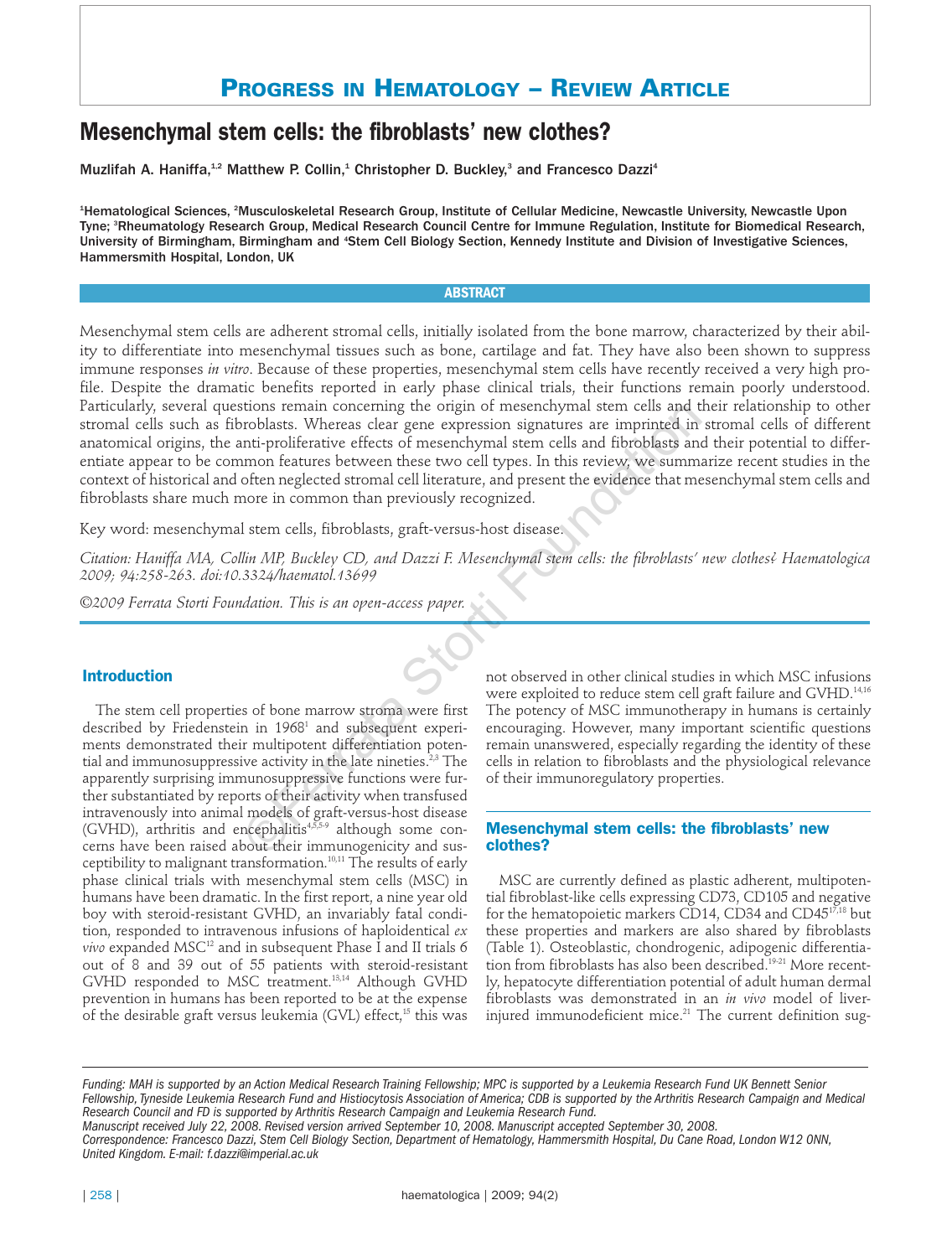# **PROGRESS IN HEMATOLOGY – REVIEW ARTICLE**

# **Mesenchymal stem cells: the fibroblasts' new clothes?**

Muzlifah A. Haniffa,<sup>1,2</sup> Matthew P. Collin,<sup>1</sup> Christopher D. Buckley,<sup>3</sup> and Francesco Dazzi<sup>4</sup>

1 Hematological Sciences, <sup>2</sup> Musculoskeletal Research Group, Institute of Cellular Medicine, Newcastle University, Newcastle Upon Tyne; <sup>s</sup>Rheumatology Research Group, Medical Research Council Centre for Immune Regulation, Institute for Biomedical Research, University of Birmingham, Birmingham and <sup>4</sup>Stem Cell Biology Section, Kennedy Institute and Division of Investigative Sciences, Hammersmith Hospital, London, UK

#### **ABSTRACT**

Mesenchymal stem cells are adherent stromal cells, initially isolated from the bone marrow, characterized by their ability to differentiate into mesenchymal tissues such as bone, cartilage and fat. They have also been shown to suppress immune responses *in vitro*. Because of these properties, mesenchymal stem cells have recently received a very high profile. Despite the dramatic benefits reported in early phase clinical trials, their functions remain poorly understood. Particularly, several questions remain concerning the origin of mesenchymal stem cells and their relationship to other stromal cells such as fibroblasts. Whereas clear gene expression signatures are imprinted in stromal cells of different anatomical origins, the anti-proliferative effects of mesenchymal stem cells and fibroblasts and their potential to differentiate appear to be common features between these two cell types. In this review, we summarize recent studies in the context of historical and often neglected stromal cell literature, and present the evidence that mesenchymal stem cells and fibroblasts share much more in common than previously recognized. itions renam concerning the origin of mesencyptal stem ceils and the<br>irroblasts. Whereas dear gene expression signatures are imprinted in<br>thi-proliferative effects of mesenchymal stem cells and fibroblasts an<br>amon features

Key word: mesenchymal stem cells, fibroblasts, graft-versus-host disease.

*Citation: Haniffa MA, Collin MP, Buckley CD, and Dazzi F. Mesenchymal stem cells: the fibroblasts' new clothes? Haematologica 2009; 94:258-263. doi:10.3324/haematol.13699*

*©2009 Ferrata Storti Foundation. This is an open-access paper.* 

## **Introduction**

The stem cell properties of bone marrow stroma were first described by Friedenstein in 1968<sup>1</sup> and subsequent experiments demonstrated their multipotent differentiation potential and immunosuppressive activity in the late nineties. $2^{3}$  The apparently surprising immunosuppressive functions were further substantiated by reports of their activity when transfused intravenously into animal models of graft-versus-host disease (GVHD), arthritis and encephalitis4,5,5-9 although some concerns have been raised about their immunogenicity and susceptibility to malignant transformation.10,11 The results of early phase clinical trials with mesenchymal stem cells (MSC) in humans have been dramatic. In the first report, a nine year old boy with steroid-resistant GVHD, an invariably fatal condition, responded to intravenous infusions of haploidentical *ex vivo* expanded MSC12 and in subsequent Phase I and II trials 6 out of 8 and 39 out of 55 patients with steroid-resistant GVHD responded to MSC treatment.13,14 Although GVHD prevention in humans has been reported to be at the expense of the desirable graft versus leukemia (GVL) effect,<sup>15</sup> this was not observed in other clinical studies in which MSC infusions were exploited to reduce stem cell graft failure and GVHD.<sup>14,16</sup> The potency of MSC immunotherapy in humans is certainly encouraging. However, many important scientific questions remain unanswered, especially regarding the identity of these cells in relation to fibroblasts and the physiological relevance of their immunoregulatory properties.

### **Mesenchymal stem cells: the fibroblasts' new clothes?**

MSC are currently defined as plastic adherent, multipotential fibroblast-like cells expressing CD73, CD105 and negative for the hematopoietic markers CD14, CD34 and CD4517,18 but these properties and markers are also shared by fibroblasts (Table 1). Osteoblastic, chondrogenic, adipogenic differentiation from fibroblasts has also been described.<sup>19-21</sup> More recently, hepatocyte differentiation potential of adult human dermal fibroblasts was demonstrated in an *in vivo* model of liverinjured immunodeficient mice.<sup>21</sup> The current definition sug-

*Funding: MAH is supported by an Action Medical Research Training Fellowship; MPC is supported by a Leukemia Research Fund UK Bennett Senior Fellowship, Tyneside Leukemia Research Fund and Histiocytosis Association of America; CDB is supported by the Arthritis Research Campaign and Medical Research Council and FD is supported by Arthritis Research Campaign and Leukemia Research Fund.*

*Manuscript received July 22, 2008. Revised version arrived September 10, 2008. Manuscript accepted September 30, 2008.*

*Correspondence: Francesco Dazzi, Stem Cell Biology Section, Department of Hematology, Hammersmith Hospital, Du Cane Road, London W12 0NN, United Kingdom. E-mail: f.dazzi@imperial.ac.uk*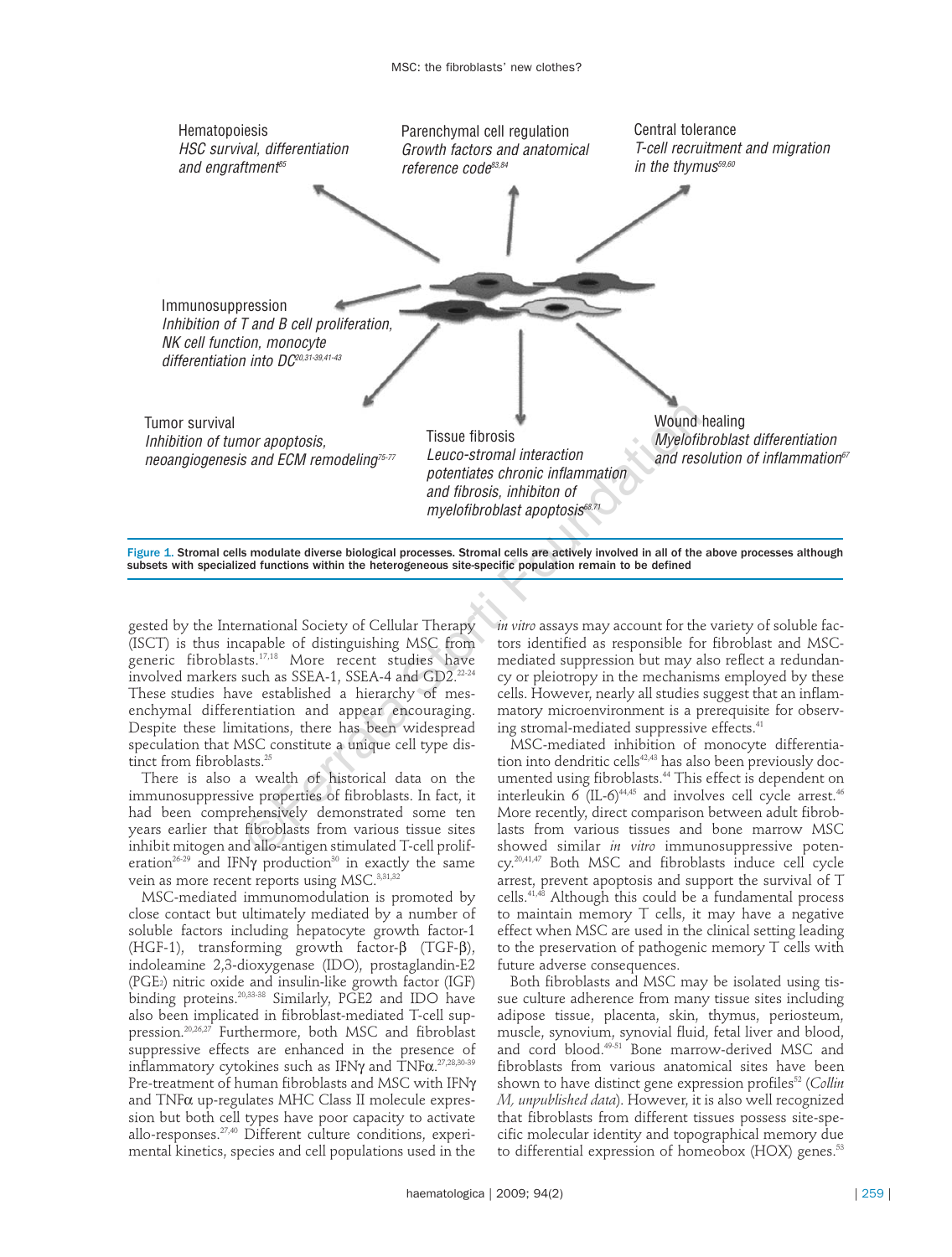

Figure 1. Stromal cells modulate diverse biological processes. Stromal cells are actively involved in all of the above processes although subsets with specialized functions within the heterogeneous site-specific population remain to be defined

gested by the International Society of Cellular Therapy (ISCT) is thus incapable of distinguishing MSC from generic fibroblasts.17,18 More recent studies have involved markers such as SSEA-1, SSEA-4 and GD2.<sup>22-24</sup> These studies have established a hierarchy of mesenchymal differentiation and appear encouraging. Despite these limitations, there has been widespread speculation that MSC constitute a unique cell type distinct from fibroblasts.<sup>25</sup>

There is also a wealth of historical data on the immunosuppressive properties of fibroblasts. In fact, it had been comprehensively demonstrated some ten years earlier that fibroblasts from various tissue sites inhibit mitogen and allo-antigen stimulated T-cell proliferation<sup>26-29</sup> and IFNγ production<sup>30</sup> in exactly the same vein as more recent reports using MSC.<sup>3,31,32</sup>

MSC-mediated immunomodulation is promoted by close contact but ultimately mediated by a number of soluble factors including hepatocyte growth factor-1 (HGF-1), transforming growth factor-β (TGF-β), indoleamine 2,3-dioxygenase (IDO), prostaglandin-E2 (PGE2) nitric oxide and insulin-like growth factor (IGF) binding proteins.20,33-38 Similarly, PGE2 and IDO have also been implicated in fibroblast-mediated T-cell suppression.<sup>20,26,27</sup> Furthermore, both MSC and fibroblast suppressive effects are enhanced in the presence of inflammatory cytokines such as IFN $\gamma$  and  $\text{TNF}\alpha$ . $^{27,28,30\text{-}39}$ Pre-treatment of human fibroblasts and MSC with IFNγ and TNFα up-regulates MHC Class II molecule expression but both cell types have poor capacity to activate allo-responses.27,40 Different culture conditions, experimental kinetics, species and cell populations used in the

*in vitro* assays may account for the variety of soluble factors identified as responsible for fibroblast and MSCmediated suppression but may also reflect a redundancy or pleiotropy in the mechanisms employed by these cells. However, nearly all studies suggest that an inflammatory microenvironment is a prerequisite for observing stromal-mediated suppressive effects.<sup>41</sup>

MSC-mediated inhibition of monocyte differentiation into dendritic cells<sup>42,43</sup> has also been previously documented using fibroblasts.<sup>44</sup> This effect is dependent on interleukin 6 (IL-6) $^{44,45}$  and involves cell cycle arrest. $^{46}$ More recently, direct comparison between adult fibroblasts from various tissues and bone marrow MSC showed similar *in vitro* immunosuppressive potency. 20,41,47 Both MSC and fibroblasts induce cell cycle arrest, prevent apoptosis and support the survival of T cells.41,48 Although this could be a fundamental process to maintain memory T cells, it may have a negative effect when MSC are used in the clinical setting leading to the preservation of pathogenic memory T cells with future adverse consequences.

Both fibroblasts and MSC may be isolated using tissue culture adherence from many tissue sites including adipose tissue, placenta, skin, thymus, periosteum, muscle, synovium, synovial fluid, fetal liver and blood, and cord blood.49-51 Bone marrow-derived MSC and fibroblasts from various anatomical sites have been shown to have distinct gene expression profiles<sup>52</sup> (*Collin M, unpublished data*). However, it is also well recognized that fibroblasts from different tissues possess site-specific molecular identity and topographical memory due to differential expression of homeobox (HOX) genes.<sup>53</sup>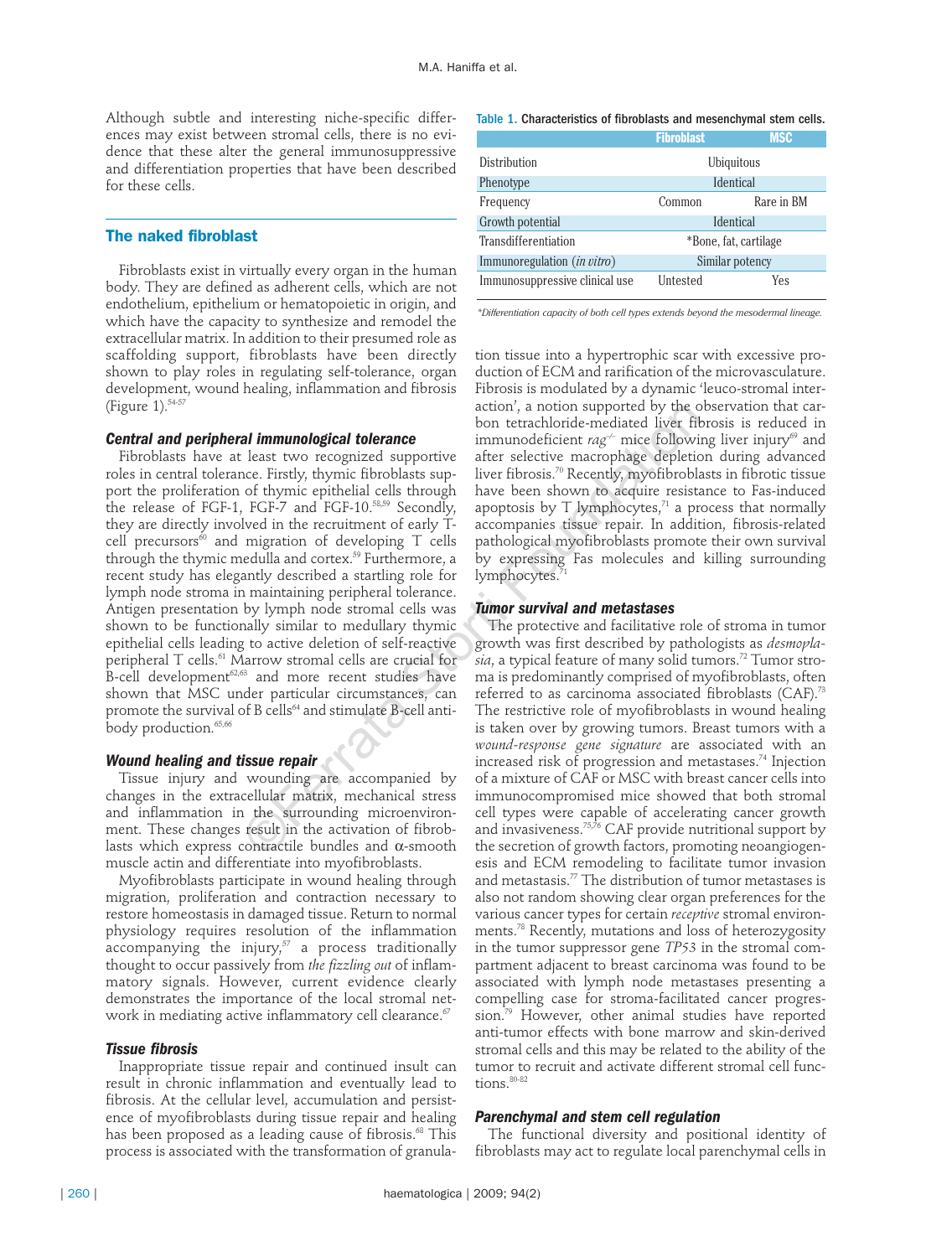Although subtle and interesting niche-specific differences may exist between stromal cells, there is no evidence that these alter the general immunosuppressive and differentiation properties that have been described for these cells.

#### **The naked fibroblast**

Fibroblasts exist in virtually every organ in the human body. They are defined as adherent cells, which are not endothelium, epithelium or hematopoietic in origin, and which have the capacity to synthesize and remodel the extracellular matrix. In addition to their presumed role as scaffolding support, fibroblasts have been directly shown to play roles in regulating self-tolerance, organ development, wound healing, inflammation and fibrosis (Figure 1).54-57

#### *Central and peripheral immunological tolerance*

Fibroblasts have at least two recognized supportive roles in central tolerance. Firstly, thymic fibroblasts support the proliferation of thymic epithelial cells through the release of FGF-1, FGF-7 and FGF-10.58,59 Secondly, they are directly involved in the recruitment of early Tcell precursors<sup>60</sup> and migration of developing  $T$  cells through the thymic medulla and cortex.<sup>59</sup> Furthermore, a recent study has elegantly described a startling role for lymph node stroma in maintaining peripheral tolerance. Antigen presentation by lymph node stromal cells was shown to be functionally similar to medullary thymic epithelial cells leading to active deletion of self-reactive peripheral T cells.61 Marrow stromal cells are crucial for  $B$ -cell development<sup>62,63</sup> and more recent studies have shown that MSC under particular circumstances, can promote the survival of B cells<sup>64</sup> and stimulate B-cell antibody production.<sup>65,66</sup> **all immunological tolerance**<br>
bon tetrachloride-mediated liver fil-<br>
least two recognized opportive<br>
least two recognized supportive<br>
least two recognized supportive after selective macrophage depletic<br>
of thymic epithel

#### *Wound healing and tissue repair*

Tissue injury and wounding are accompanied by changes in the extracellular matrix, mechanical stress and inflammation in the surrounding microenvironment. These changes result in the activation of fibroblasts which express contractile bundles and  $\alpha$ -smooth muscle actin and differentiate into myofibroblasts.

Myofibroblasts participate in wound healing through migration, proliferation and contraction necessary to restore homeostasis in damaged tissue. Return to normal physiology requires resolution of the inflammation  $\alpha$ ccompanying the injury, $57$  a process traditionally thought to occur passively from *the fizzling out* of inflammatory signals. However, current evidence clearly demonstrates the importance of the local stromal network in mediating active inflammatory cell clearance.<sup>67</sup>

### *Tissue fibrosis*

Inappropriate tissue repair and continued insult can result in chronic inflammation and eventually lead to fibrosis. At the cellular level, accumulation and persistence of myofibroblasts during tissue repair and healing has been proposed as a leading cause of fibrosis.<sup>68</sup> This process is associated with the transformation of granula-

#### Table 1. Characteristics of fibroblasts and mesenchymal stem cells.

|                                    | <b>Fibroblast</b>     | <b>MSC</b> |
|------------------------------------|-----------------------|------------|
| Distribution                       | Ubiquitous            |            |
| Phenotype                          | Identical             |            |
| Frequency                          | Common                | Rare in BM |
| Growth potential                   | <b>Identical</b>      |            |
| Transdifferentiation               | *Bone, fat, cartilage |            |
| Immunoregulation <i>(in vitro)</i> | Similar potency       |            |
| Immunosuppressive clinical use     | Untested              | Yes        |

*\*Differentiation capacity of both cell types extends beyond the mesodermal lineage.*

tion tissue into a hypertrophic scar with excessive production of ECM and rarification of the microvasculature. Fibrosis is modulated by a dynamic 'leuco-stromal interaction', a notion supported by the observation that carbon tetrachloride-mediated liver fibrosis is reduced in immunodeficient *rag*<sup>-/-</sup> mice following liver injury<sup>69</sup> and after selective macrophage depletion during advanced liver fibrosis.70 Recently, myofibroblasts in fibrotic tissue have been shown to acquire resistance to Fas-induced apoptosis by T lymphocytes, $71$  a process that normally accompanies tissue repair. In addition, fibrosis-related pathological myofibroblasts promote their own survival by expressing Fas molecules and killing surrounding lymphocytes.7

#### *Tumor survival and metastases*

The protective and facilitative role of stroma in tumor growth was first described by pathologists as *desmoplasia*, a typical feature of many solid tumors.72 Tumor stroma is predominantly comprised of myofibroblasts, often referred to as carcinoma associated fibroblasts (CAF).73 The restrictive role of myofibroblasts in wound healing is taken over by growing tumors. Breast tumors with a *wound-response gene signature* are associated with an increased risk of progression and metastases.<sup>74</sup> Injection of a mixture of CAF or MSC with breast cancer cells into immunocompromised mice showed that both stromal cell types were capable of accelerating cancer growth and invasiveness.<sup>75,76</sup> CAF provide nutritional support by the secretion of growth factors, promoting neoangiogenesis and ECM remodeling to facilitate tumor invasion and metastasis.<sup>77</sup> The distribution of tumor metastases is also not random showing clear organ preferences for the various cancer types for certain *receptive* stromal environments.78 Recently, mutations and loss of heterozygosity in the tumor suppressor gene *TP53* in the stromal compartment adjacent to breast carcinoma was found to be associated with lymph node metastases presenting a compelling case for stroma-facilitated cancer progression.<sup>79</sup> However, other animal studies have reported anti-tumor effects with bone marrow and skin-derived stromal cells and this may be related to the ability of the tumor to recruit and activate different stromal cell functions. 80-82

### *Parenchymal and stem cell regulation*

The functional diversity and positional identity of fibroblasts may act to regulate local parenchymal cells in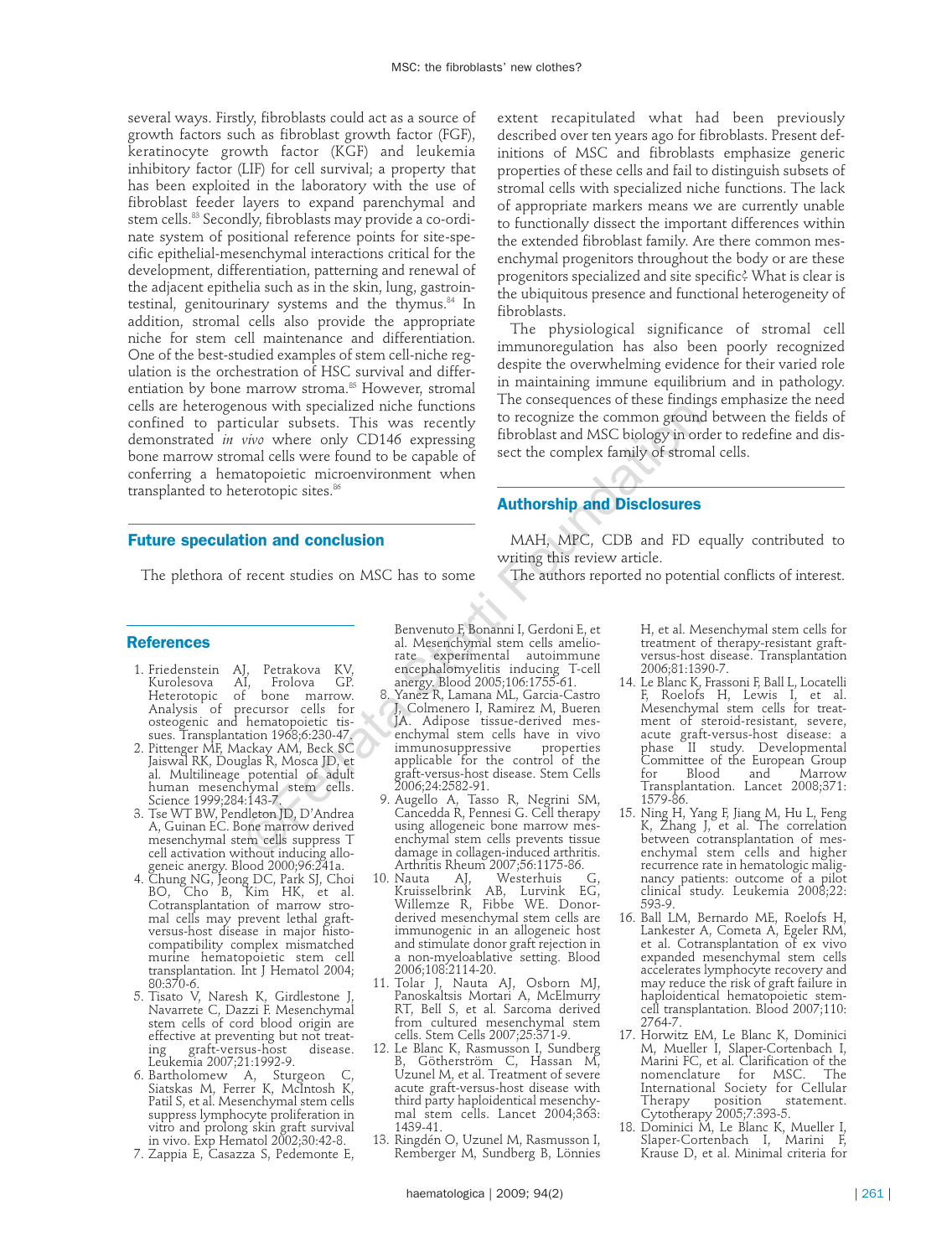several ways. Firstly, fibroblasts could act as a source of growth factors such as fibroblast growth factor (FGF), keratinocyte growth factor (KGF) and leukemia inhibitory factor (LIF) for cell survival; a property that has been exploited in the laboratory with the use of fibroblast feeder layers to expand parenchymal and stem cells.<sup>83</sup> Secondly, fibroblasts may provide a co-ordinate system of positional reference points for site-specific epithelial-mesenchymal interactions critical for the development, differentiation, patterning and renewal of the adjacent epithelia such as in the skin, lung, gastrointestinal, genitourinary systems and the thymus.<sup>84</sup> In addition, stromal cells also provide the appropriate niche for stem cell maintenance and differentiation. One of the best-studied examples of stem cell-niche regulation is the orchestration of HSC survival and differentiation by bone marrow stroma.<sup>85</sup> However, stromal cells are heterogenous with specialized niche functions confined to particular subsets. This was recently demonstrated *in vivo* where only CD146 expressing bone marrow stromal cells were found to be capable of conferring a hematopoietic microenvironment when transplanted to heterotopic sites.<sup>86</sup>

### **Future speculation and conclusion**

The plethora of recent studies on MSC has to some

#### **References**

- 1. Friedenstein AJ, Petrakova KV,<br>Kurolesova AI, Frolova GP. Kurolesova AI, Frolova GP. Heterotopic of bone marrow. Analysis of precursor cells for osteogenic and hematopoietic tissues. Transplantation 1968;6:230-47.
- 2. Pittenger MF, Mackay AM, Beck SC Jaiswal RK, Douglas R, Mosca JD, et al. Multilineage potential of adult human mesenchymal stem cells. Science 1999;284:143-7.
- 3. Tse WT BW, Pendleton JD, D'Andrea A, Guinan EC. Bone marrow derived mesenchymal stem cells suppress T cell activation without inducing allogeneic anergy. Blood 2000;96:241a.
- 4. Chung NG, Jeong DC, Park SJ, Choi BO, Cho B, Kim HK, et al. Cotransplantation of marrow stromal cells may prevent lethal graftversus-host disease in major histocompatibility complex mismatched murine hematopoietic stem cell transplantation. Int J Hematol 2004; 80:370-6.
- 5. Tisato V, Naresh K, Girdlestone J, Navarrete C, Dazzi F. Mesenchymal stem cells of cord blood origin are effective at preventing but not treat-<br>ing graft-versus-host disease. ing graft-versus-host disease. Leukemia 2007;21:1992-9.
- 6. Bartholomew A, Sturgeon C, Siatskas M, Ferrer K, McIntosh K, Patil S, et al. Mesenchymal stem cells suppress lymphocyte proliferation in vitro and prolong skin graft survival in vivo. Exp Hematol 2002;30:42-8.
- 7. Zappia E, Casazza S, Pedemonte E,

Benvenuto F, Bonanni I, Gerdoni E, et al. Mesenchymal stem cells ameliorate experimental autoimmune encephalomyelitis inducing T-cell anergy. Blood 2005;106:1755-61.

- 8. Yanez R, Lamana ML, Garcia-Castro J, Colmenero I, Ramirez M, Bueren JA. Adipose tissue-derived mesenchymal stem cells have in vivo<br>immunosuppressive properties immunosuppressive properties applicable for the control of the graft-versus-host disease. Stem Cells 2006;24:2582-91. Not the peculiared nucleon transformation of the computer and a material store of the computer and conclusion and conclusion and conclusion and conclusion of the capable of sect the complex family of strom and conclusion t
	- 9. Augello A, Tasso R, Negrini SM, Cancedda R, Pennesi G. Cell therapy using allogeneic bone marrow mesenchymal stem cells prevents tissue damage in collagen-induced arthritis. Arthritis Rheum 2007;56:1175-86.
	- 10. Nauta AJ, Westerhuis G, Kruisselbrink AB, Lurvink EG, Willemze R, Fibbe WE. Donorderived mesenchymal stem cells are immunogenic in an allogeneic host and stimulate donor graft rejection in a non-myeloablative setting. Blood 2006;108:2114-20.
	- 11. Tolar J, Nauta AJ, Osborn MJ, Panoskaltsis Mortari A, McElmurry RT, Bell S, et al. Sarcoma derived from cultured mesenchymal stem cells. Stem Cells 2007;25:371-9.
	- 12. Le Blanc K, Rasmusson I, Sundberg B, Götherström C, Hassan M, Uzunel M, et al. Treatment of severe acute graft-versus-host disease with third party haploidentical mesenchymal stem cells. Lancet 2004;363: 1439-41.
	- 13. Ringdén O, Uzunel M, Rasmusson I, Remberger M, Sundberg B, Lönnies

extent recapitulated what had been previously described over ten years ago for fibroblasts. Present definitions of MSC and fibroblasts emphasize generic properties of these cells and fail to distinguish subsets of stromal cells with specialized niche functions. The lack of appropriate markers means we are currently unable to functionally dissect the important differences within the extended fibroblast family. Are there common mesenchymal progenitors throughout the body or are these progenitors specialized and site specific? What is clear is the ubiquitous presence and functional heterogeneity of fibroblasts.

The physiological significance of stromal cell immunoregulation has also been poorly recognized despite the overwhelming evidence for their varied role in maintaining immune equilibrium and in pathology. The consequences of these findings emphasize the need to recognize the common ground between the fields of fibroblast and MSC biology in order to redefine and dissect the complex family of stromal cells.

## **Authorship and Disclosures**

MAH, MPC, CDB and FD equally contributed to writing this review article.

The authors reported no potential conflicts of interest.

H, et al. Mesenchymal stem cells for treatment of therapy-resistant graftversus-host disease. Transplantation 2006;81:1390-7.

- 14. Le Blanc K, Frassoni F, Ball L, Locatelli F, Roelofs H, Lewis I, et al. Mesenchymal stem cells for treatment of steroid-resistant, severe, acute graft-versus-host disease: a phase II study. Developmental Committee of the European Group Marrow Transplantation. Lancet 2008;371: 1579-86.
- 15. Ning H, Yang F, Jiang M, Hu L, Feng K, Zhang J, et al. The correlation between cotransplantation of mesenchymal stem cells and higher recurrence rate in hematologic malignancy patients: outcome of a pilot clinical study. Leukemia 2008;22: 593-9.
- 16. Ball LM, Bernardo ME, Roelofs H, Lankester A, Cometa A, Egeler RM, et al. Cotransplantation of ex vivo expanded mesenchymal stem cells accelerates lymphocyte recovery and may reduce the risk of graft failure in haploidentical hematopoietic stemcell transplantation. Blood 2007;110: 2764-7.
- 17. Horwitz EM, Le Blanc K, Dominici M, Mueller I, Slaper-Cortenbach I, Marini FC, et al. Clarification of the nomenclature for MSC. The International Society for Cellular Therapy position statement. Cytotherapy 2005;7:393-5.
- 18. Dominici M, Le Blanc K, Mueller I, Slaper-Cortenbach I, Marini F, Krause D, et al. Minimal criteria for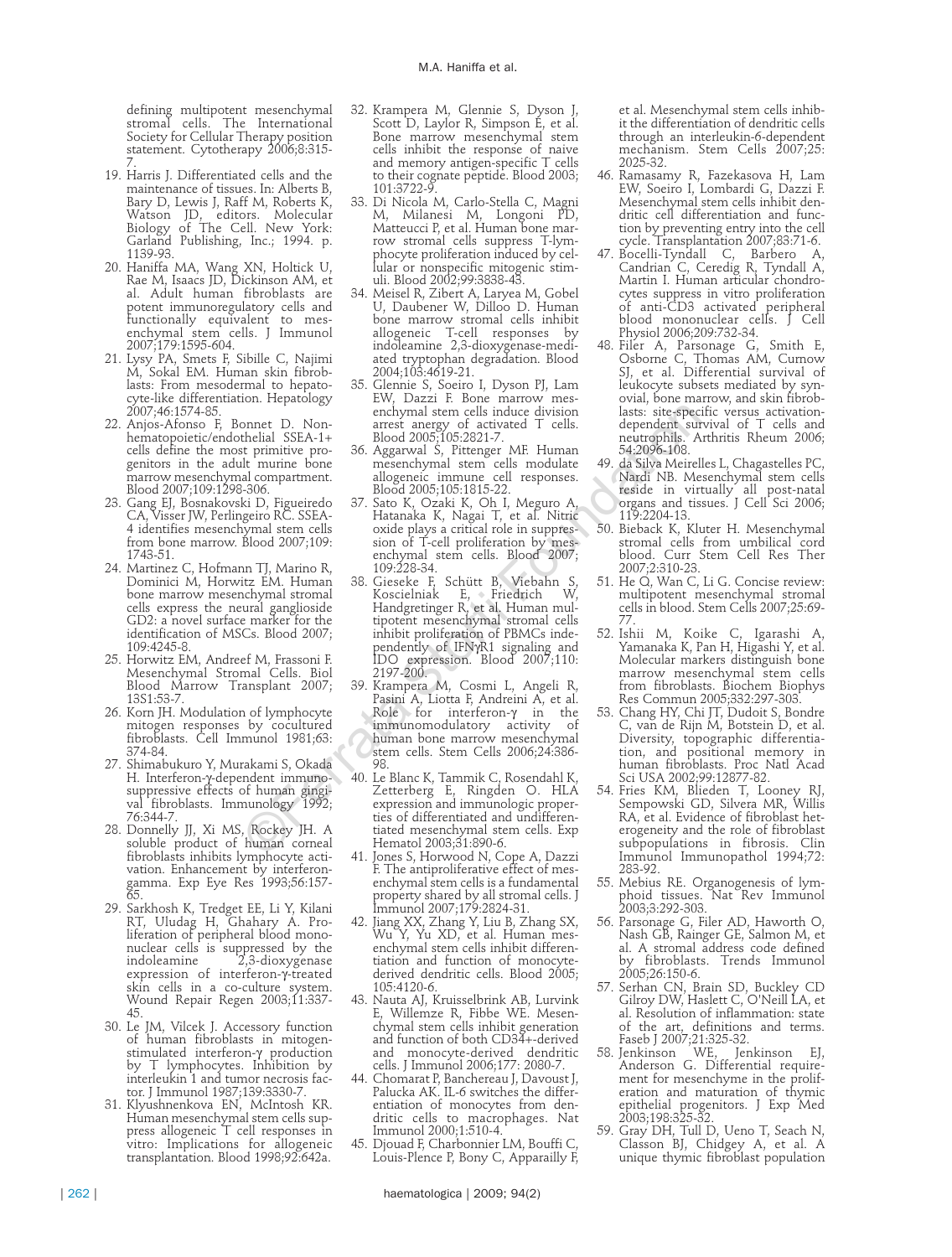defining multipotent mesenchymal stromal cells. The International Society for Cellular Therapy position statement. Cytotherapy 2006;8:315- 7.

- 19. Harris J. Differentiated cells and the maintenance of tissues. In: Alberts B, Bary D, Lewis J, Raff M, Roberts K, Watson JD, editors. Molecular Biology of The Cell. New York: Garland Publishing, Inc.; 1994. p. 1139-93.
- 20. Haniffa MA, Wang XN, Holtick U, Rae M, Isaacs JD, Dickinson AM, et al. Adult human fibroblasts are potent immunoregulatory cells and functionally equivalent to mesenchymal stem cells. J Immunol 2007;179:1595-604.
- 21. Lysy PA, Smets F, Sibille C, Najimi M, Sokal EM. Human skin fibroblasts: From mesodermal to hepatocyte-like differentiation. Hepatology 2007;46:1574-85.
- 22. Anjos-Afonso F, Bonnet D. Nonhematopoietic/endothelial SSEA-1+ cells define the most primitive progenitors in the adult murine bone marrow mesenchymal compartment. Blood 2007;109:1298-306.
- 23. Gang EJ, Bosnakovski D, Figueiredo CA, Visser JW, Perlingeiro RC. SSEA-4 identifies mesenchymal stem cells from bone marrow. Blood 2007;109: 1743-51.
- 24. Martinez C, Hofmann TJ, Marino R, Dominici M, Horwitz EM. Human bone marrow mesenchymal stromal cells express the neural ganglioside GD2: a novel surface marker for the identification of MSCs. Blood 2007; 109:4245-8.
- 25. Horwitz EM, Andreef M, Frassoni F. Mesenchymal Stromal Cells. Biol Blood Marrow Transplant 2007; 13S1:53-7.
- 26. Korn JH. Modulation of lymphocyte mitogen responses by cocultured fibroblasts. Cell Immunol 1981;63: 374-84.
- 27. Shimabukuro Y, Murakami S, Okada H. Interferon-γ-dependent immunosuppressive effects of human gingival fibroblasts. Immunology 1992; 76:344-7.
- 28. Donnelly JJ, Xi MS, Rockey JH. A soluble product of human corneal fibroblasts inhibits lymphocyte activation. Enhancement by interferongamma. Exp Eye Res 1993;56:157- 65.
- 29. Sarkhosh K, Tredget EE, Li Y, Kilani RT, Uludag H, Ghahary A. Proliferation of peripheral blood mononuclear cells is suppressed by the indoleamine 2,3-dioxygenase expression of interferon-γ-treated skin cells in a co-culture system. Wound Repair Regen 2003;11:337- 45.
- 30. Le JM, Vilcek J. Accessory function of human fibroblasts in mitogenstimulated interferon-γ production by T lymphocytes. Inhibition by interleukin 1 and tumor necrosis factor. J Immunol 1987;139:3330-7.
- 31. Klyushnenkova EN, McIntosh KR. Human mesenchymal stem cells suppress allogeneic T cell responses in vitro: Implications for allogeneic transplantation. Blood 1998;92:642a.
- 32. Krampera M, Glennie S, Dyson J, Scott D, Laylor R, Simpson E, et al. Bone marrow mesenchymal stem cells inhibit the response of naive and memory antigen-specific T cells to their cognate peptide. Blood 2003; 101:3722-9.
- 33. Di Nicola M, Carlo-Stella C, Magni M, Milanesi M, Longoni PD, Matteucci P, et al. Human bone marrow stromal cells suppress T-lymphocyte proliferation induced by cellular or nonspecific mitogenic stimuli. Blood 2002;99:3838-43.
- 34. Meisel R, Zibert A, Laryea M, Gobel U, Daubener W, Dilloo D. Human bone marrow stromal cells inhibit allogeneic T-cell responses by indoleamine 2,3-dioxygenase-mediated tryptophan degradation. Blood 2004;103:4619-21.
- 35. Glennie S, Soeiro I, Dyson PJ, Lam EW, Dazzi F. Bone marrow mesenchymal stem cells induce division arrest anergy of activated T cells. Blood 2005;105:2821-7.
- 36. Aggarwal S, Pittenger MF. Human mesenchymal stem cells modulate allogeneic immune cell responses. Blood 2005;105:1815-22.
- 37. Sato K, Ozaki K, Oh I, Meguro A, Hatanaka K, Nagai T, et al. Nitric oxide plays a critical role in suppression of T-cell proliferation by mesenchymal stem cells. Blood 2007; 109:228-34.
- 38. Gieseke F, Schütt B, Viebahn S, Koscielniak E, Friedrich W, Handgretinger R, et al. Human multipotent mesenchymal stromal cells inhibit proliferation of PBMCs independently of IFNγR1 signaling and IDO expression. Blood 2007;110: 2197-200. ©Ferrata Storti Foundation
	- 39. Krampera M, Cosmi L, Angeli R, Pasini A, Liotta F, Andreini A, et al.<br>Role > for }interferon-γ in the immunomodulatory activity of human bone marrow mesenchymal stem cells. Stem Cells 2006;24:386- 98.
	- 40. Le Blanc K, Tammik C, Rosendahl K, Zetterberg E, Ringden O. HLA expression and immunologic properties of differentiated and undifferentiated mesenchymal stem cells. Exp Hematol 2003;31:890-6.
	- 41. Jones S, Horwood N, Cope A, Dazzi F. The antiproliferative effect of mesenchymal stem cells is a fundamental property shared by all stromal cells. J Immunol 2007;179:2824-31.
	- 42. Jiang XX, Zhang Y, Liu B, Zhang SX, Wu Y, Yu XD, et al. Human mesenchymal stem cells inhibit differentiation and function of monocytederived dendritic cells. Blood 2005; 105:4120-6.
	- 43. Nauta AJ, Kruisselbrink AB, Lurvink E, Willemze R, Fibbe WE. Mesenchymal stem cells inhibit generation and function of both CD34+-derived and monocyte-derived dendritic cells. J Immunol 2006;177: 2080-7.
	- 44. Chomarat P, Banchereau J, Davoust J, Palucka AK. IL-6 switches the differentiation of monocytes from dendritic cells to macrophages. Nat Immunol 2000;1:510-4.
	- 45. Djouad F, Charbonnier LM, Bouffi C, Louis-Plence P, Bony C, Apparailly F,

et al. Mesenchymal stem cells inhibit the differentiation of dendritic cells through an interleukin-6-dependent mechanism. Stem Cells 2007;25: 2025-32.

- 46. Ramasamy R, Fazekasova H, Lam EW, Soeiro I, Lombardi G, Dazzi F. Mesenchymal stem cells inhibit dendritic cell differentiation and function by preventing entry into the cell cycle. Transplantation 2007;83:71-6.
- 47. Bocelli-Tyndall C, Barbero A, Candrian C, Ceredig R, Tyndall A, Martin I. Human articular chondrocytes suppress in vitro proliferation of anti-CD3 activated peripheral blood mononuclear cells. J Cell Physiol 2006;209:732-34.
- 48. Filer A, Parsonage G, Smith E, Osborne C, Thomas AM, Curnow SJ, et al. Differential survival of leukocyte subsets mediated by synovial, bone marrow, and skin fibroblasts: site-specific versus activationdependent survival of T cells and neutrophils. Arthritis Rheum 2006; 54:2096-108.<br>49. da Silva Meirelles L, Chagastelles PC,
	- Nardi NB. Mesenchymal stem cells reside in virtually all post-natal organs and tissues. J Cell Sci 2006; 119:2204-13.
- 50. Bieback K, Kluter H. Mesenchymal stromal cells from umbilical cord blood. Curr Stem Cell Res Ther 2007;2:310-23.
- 51. He Q, Wan C, Li G. Concise review: multipotent mesenchymal stromal cells in blood. Stem Cells 2007;25:69- 77.
- 52. Ishii M, Koike C, Igarashi A, Yamanaka K, Pan H, Higashi Y, et al. Molecular markers distinguish bone marrow mesenchymal stem cells from fibroblasts. Biochem Biophys Res Commun 2005;332:297-303.
- 53. Chang HY, Chi JT, Dudoit S, Bondre C, van de Rijn M, Botstein D, et al. Diversity, topographic differentiation, and positional memory in human fibroblasts. Proc Natl Acad Sci USA 2002;99:12877-82.
- 54. Fries KM, Blieden T, Looney RJ, Sempowski GD, Silvera MR, Willis RA, et al. Evidence of fibroblast heterogeneity and the role of fibroblast subpopulations in fibrosis. Clin Immunol Immunopathol 1994;72: 283-92.
- 55. Mebius RE. Organogenesis of lymphoid tissues. Nat Rev Immunol 2003;3:292-303.
- 56. Parsonage G, Filer AD, Haworth O, Nash GB, Rainger GE, Salmon M, et al. A stromal address code defined by fibroblasts. Trends Immunol 2005;26:150-6.
- 57. Serhan CN, Brain SD, Buckley CD Gilroy DW, Haslett C, O'Neill LA, et al. Resolution of inflammation: state of the art, definitions and terms. Faseb J 2007;21:325-32.
- 58. Jenkinson WE, Jenkinson EJ, Jenkinson WE, Jenkinson EJ,<br>Anderson G. Differential requirement for mesenchyme in the proliferation and maturation of thymic epithelial progenitors. J Exp Med 2003;198:325-32.
- 59. Gray DH, Tull D, Ueno T, Seach N, Classon BJ, Chidgey A, et al. A unique thymic fibroblast population